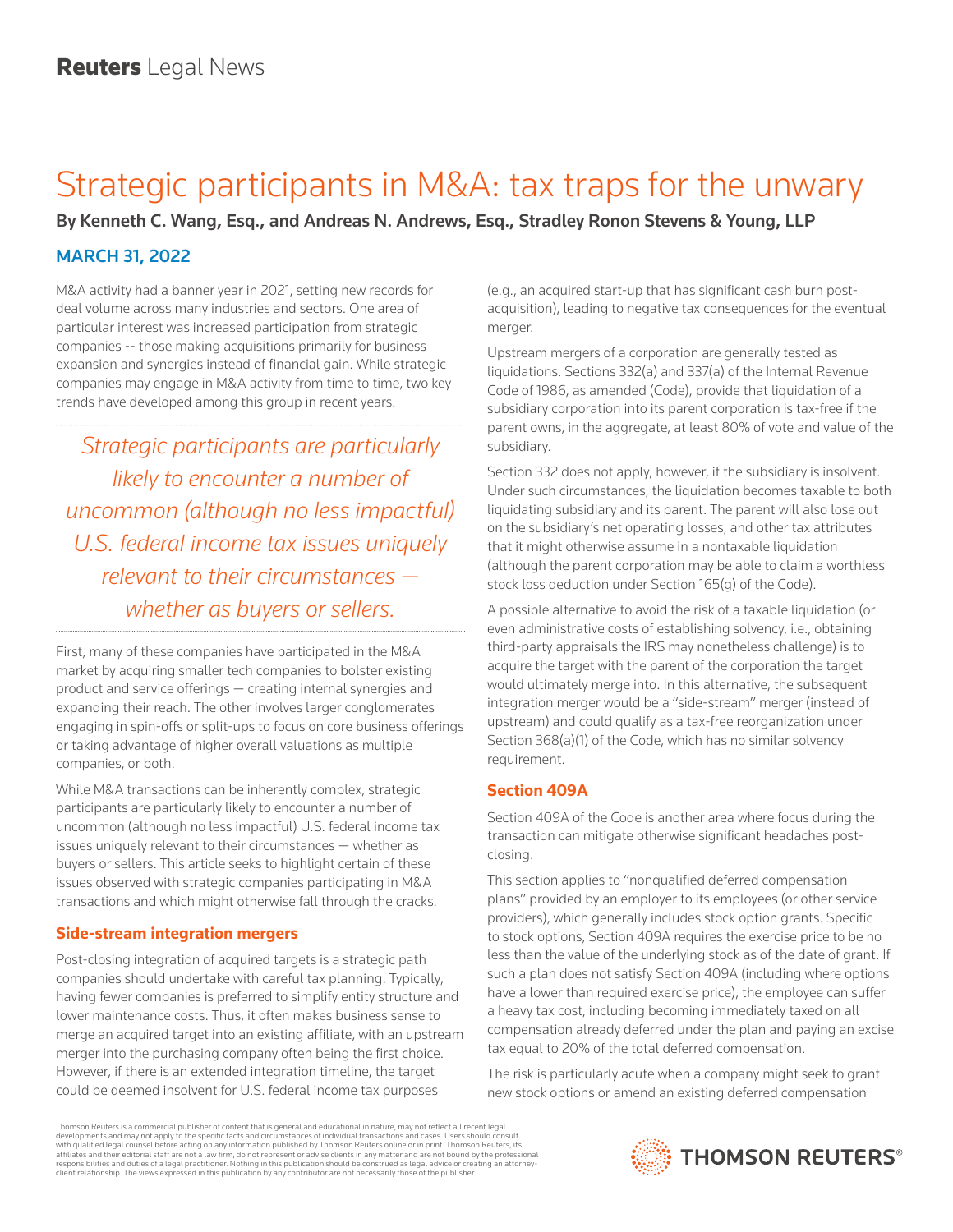# Strategic participants in M&A: tax traps for the unwary

By Kenneth C. Wang, Esq., and Andreas N. Andrews, Esq., Stradley Ronon Stevens & Young, LLP

## MARCH 31, 2022

M&A activity had a banner year in 2021, setting new records for deal volume across many industries and sectors. One area of particular interest was increased participation from strategic companies -- those making acquisitions primarily for business expansion and synergies instead of financial gain. While strategic companies may engage in M&A activity from time to time, two key trends have developed among this group in recent years.

*Strategic participants are particularly likely to encounter a number of uncommon (although no less impactful) U.S. federal income tax issues uniquely relevant to their circumstances whether as buyers or sellers.*

First, many of these companies have participated in the M&A market by acquiring smaller tech companies to bolster existing product and service offerings — creating internal synergies and expanding their reach. The other involves larger conglomerates engaging in spin-offs or split-ups to focus on core business offerings or taking advantage of higher overall valuations as multiple companies, or both.

While M&A transactions can be inherently complex, strategic participants are particularly likely to encounter a number of uncommon (although no less impactful) U.S. federal income tax issues uniquely relevant to their circumstances — whether as buyers or sellers. This article seeks to highlight certain of these issues observed with strategic companies participating in M&A transactions and which might otherwise fall through the cracks.

## **Side-stream integration mergers**

Post-closing integration of acquired targets is a strategic path companies should undertake with careful tax planning. Typically, having fewer companies is preferred to simplify entity structure and lower maintenance costs. Thus, it often makes business sense to merge an acquired target into an existing affiliate, with an upstream merger into the purchasing company often being the first choice. However, if there is an extended integration timeline, the target could be deemed insolvent for U.S. federal income tax purposes

(e.g., an acquired start-up that has significant cash burn postacquisition), leading to negative tax consequences for the eventual merger.

Upstream mergers of a corporation are generally tested as liquidations. Sections 332(a) and 337(a) of the Internal Revenue Code of 1986, as amended (Code), provide that liquidation of a subsidiary corporation into its parent corporation is tax-free if the parent owns, in the aggregate, at least 80% of vote and value of the subsidiary.

Section 332 does not apply, however, if the subsidiary is insolvent. Under such circumstances, the liquidation becomes taxable to both liquidating subsidiary and its parent. The parent will also lose out on the subsidiary's net operating losses, and other tax attributes that it might otherwise assume in a nontaxable liquidation (although the parent corporation may be able to claim a worthless stock loss deduction under Section 165(g) of the Code).

A possible alternative to avoid the risk of a taxable liquidation (or even administrative costs of establishing solvency, i.e., obtaining third-party appraisals the IRS may nonetheless challenge) is to acquire the target with the parent of the corporation the target would ultimately merge into. In this alternative, the subsequent integration merger would be a "side-stream" merger (instead of upstream) and could qualify as a tax-free reorganization under Section 368(a)(1) of the Code, which has no similar solvency requirement.

## **Section 409A**

Section 409A of the Code is another area where focus during the transaction can mitigate otherwise significant headaches postclosing.

This section applies to "nonqualified deferred compensation plans" provided by an employer to its employees (or other service providers), which generally includes stock option grants. Specific to stock options, Section 409A requires the exercise price to be no less than the value of the underlying stock as of the date of grant. If such a plan does not satisfy Section 409A (including where options have a lower than required exercise price), the employee can suffer a heavy tax cost, including becoming immediately taxed on all compensation already deferred under the plan and paying an excise tax equal to 20% of the total deferred compensation.

The risk is particularly acute when a company might seek to grant new stock options or amend an existing deferred compensation

Thomson Reuters is a commercial publisher of content that is general and educational in nature, may not reflect all recent legal developments and may not apply to the specific facts and circumstances of individual transactions and cases. Users should consult<br>with qualified legal counsel before acting on any information published by Thomson Reuters o responsibilities and duties of a legal practitioner. Nothing in this publication should be construed as legal advice or creating an attorneyclient relationship. The views expressed in this publication by any contributor are not necessarily those of the publisher.

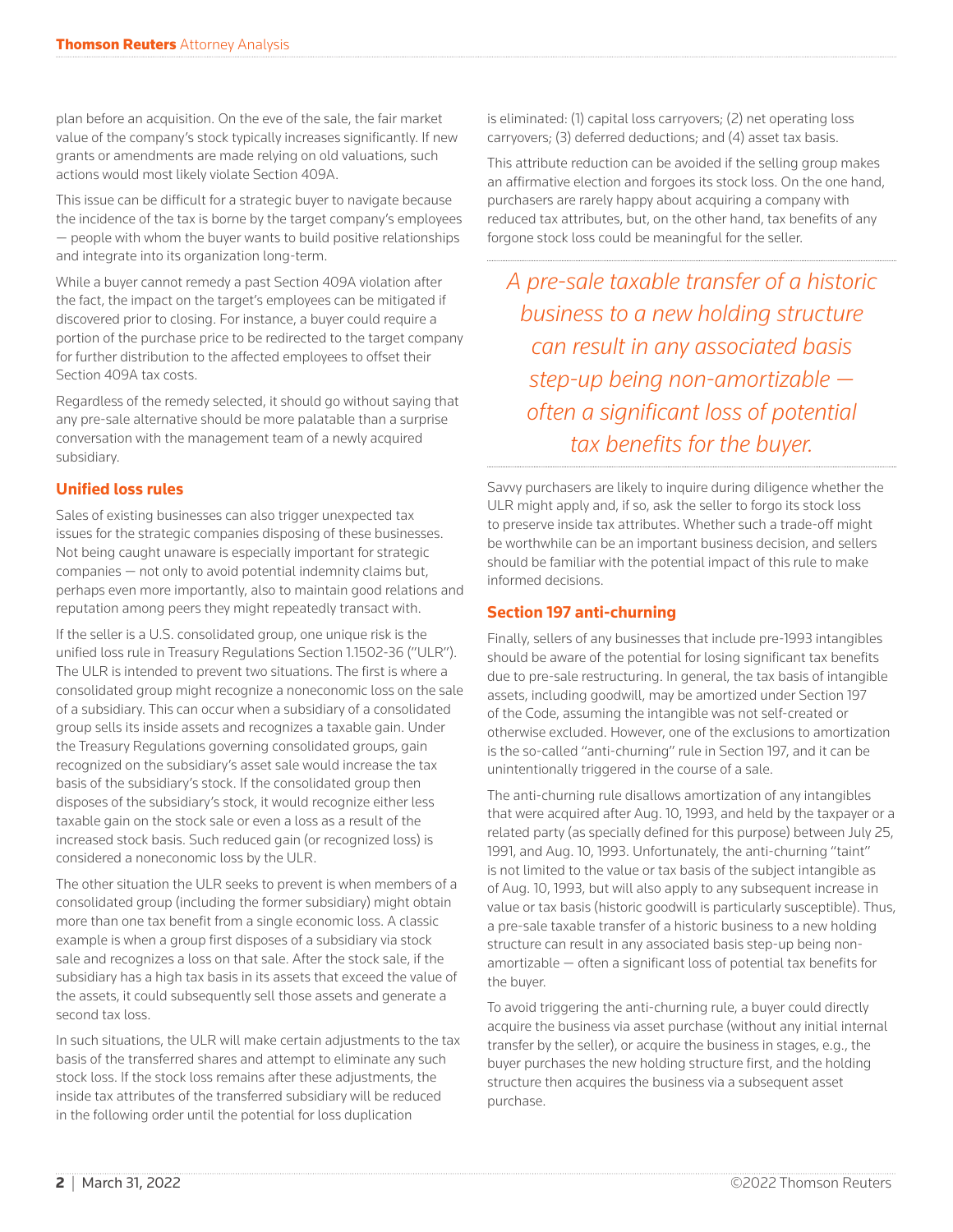plan before an acquisition. On the eve of the sale, the fair market value of the company's stock typically increases significantly. If new grants or amendments are made relying on old valuations, such actions would most likely violate Section 409A.

This issue can be difficult for a strategic buyer to navigate because the incidence of the tax is borne by the target company's employees — people with whom the buyer wants to build positive relationships and integrate into its organization long-term.

While a buyer cannot remedy a past Section 409A violation after the fact, the impact on the target's employees can be mitigated if discovered prior to closing. For instance, a buyer could require a portion of the purchase price to be redirected to the target company for further distribution to the affected employees to offset their Section 409A tax costs.

Regardless of the remedy selected, it should go without saying that any pre-sale alternative should be more palatable than a surprise conversation with the management team of a newly acquired subsidiary.

## **Unified loss rules**

Sales of existing businesses can also trigger unexpected tax issues for the strategic companies disposing of these businesses. Not being caught unaware is especially important for strategic companies — not only to avoid potential indemnity claims but, perhaps even more importantly, also to maintain good relations and reputation among peers they might repeatedly transact with.

If the seller is a U.S. consolidated group, one unique risk is the unified loss rule in Treasury Regulations Section 1.1502-36 ("ULR"). The ULR is intended to prevent two situations. The first is where a consolidated group might recognize a noneconomic loss on the sale of a subsidiary. This can occur when a subsidiary of a consolidated group sells its inside assets and recognizes a taxable gain. Under the Treasury Regulations governing consolidated groups, gain recognized on the subsidiary's asset sale would increase the tax basis of the subsidiary's stock. If the consolidated group then disposes of the subsidiary's stock, it would recognize either less taxable gain on the stock sale or even a loss as a result of the increased stock basis. Such reduced gain (or recognized loss) is considered a noneconomic loss by the ULR.

The other situation the ULR seeks to prevent is when members of a consolidated group (including the former subsidiary) might obtain more than one tax benefit from a single economic loss. A classic example is when a group first disposes of a subsidiary via stock sale and recognizes a loss on that sale. After the stock sale, if the subsidiary has a high tax basis in its assets that exceed the value of the assets, it could subsequently sell those assets and generate a second tax loss.

In such situations, the ULR will make certain adjustments to the tax basis of the transferred shares and attempt to eliminate any such stock loss. If the stock loss remains after these adjustments, the inside tax attributes of the transferred subsidiary will be reduced in the following order until the potential for loss duplication

is eliminated: (1) capital loss carryovers; (2) net operating loss carryovers; (3) deferred deductions; and (4) asset tax basis.

This attribute reduction can be avoided if the selling group makes an affirmative election and forgoes its stock loss. On the one hand, purchasers are rarely happy about acquiring a company with reduced tax attributes, but, on the other hand, tax benefits of any forgone stock loss could be meaningful for the seller.

*A pre-sale taxable transfer of a historic business to a new holding structure can result in any associated basis step-up being non-amortizable often a significant loss of potential tax benefits for the buyer.*

Savvy purchasers are likely to inquire during diligence whether the ULR might apply and, if so, ask the seller to forgo its stock loss to preserve inside tax attributes. Whether such a trade-off might be worthwhile can be an important business decision, and sellers should be familiar with the potential impact of this rule to make informed decisions.

#### **Section 197 anti-churning**

Finally, sellers of any businesses that include pre-1993 intangibles should be aware of the potential for losing significant tax benefits due to pre-sale restructuring. In general, the tax basis of intangible assets, including goodwill, may be amortized under Section 197 of the Code, assuming the intangible was not self-created or otherwise excluded. However, one of the exclusions to amortization is the so-called "anti-churning" rule in Section 197, and it can be unintentionally triggered in the course of a sale.

The anti-churning rule disallows amortization of any intangibles that were acquired after Aug. 10, 1993, and held by the taxpayer or a related party (as specially defined for this purpose) between July 25, 1991, and Aug. 10, 1993. Unfortunately, the anti-churning "taint" is not limited to the value or tax basis of the subject intangible as of Aug. 10, 1993, but will also apply to any subsequent increase in value or tax basis (historic goodwill is particularly susceptible). Thus, a pre-sale taxable transfer of a historic business to a new holding structure can result in any associated basis step-up being nonamortizable — often a significant loss of potential tax benefits for the buyer.

To avoid triggering the anti-churning rule, a buyer could directly acquire the business via asset purchase (without any initial internal transfer by the seller), or acquire the business in stages, e.g., the buyer purchases the new holding structure first, and the holding structure then acquires the business via a subsequent asset purchase.